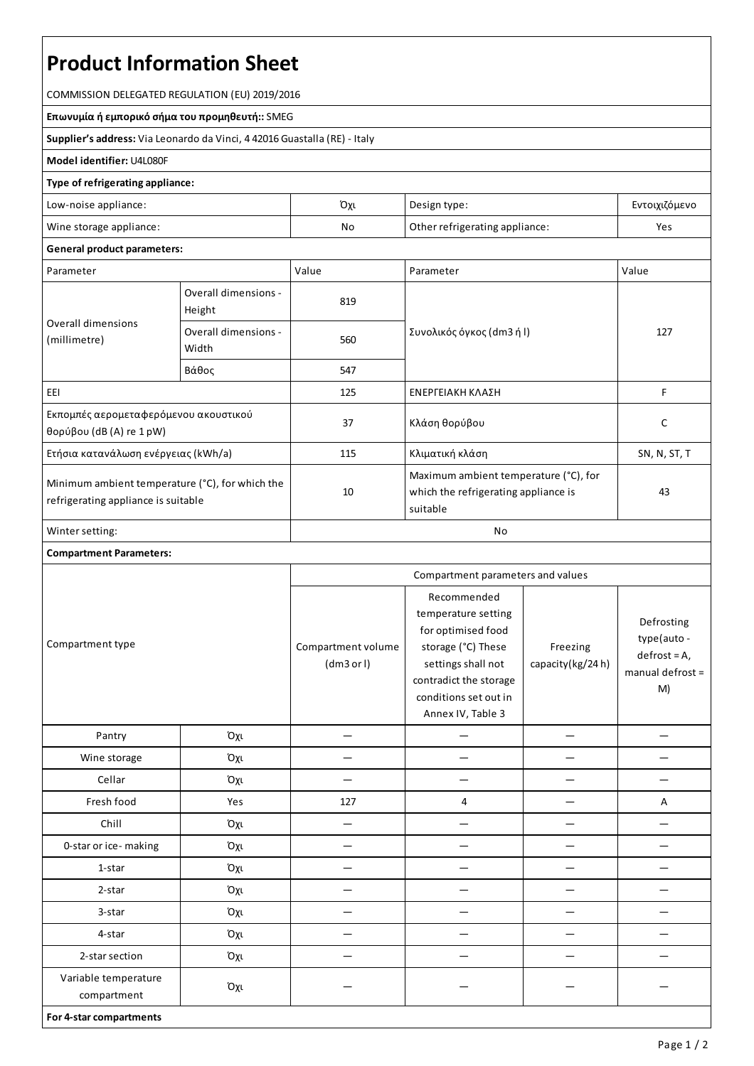# **Product Information Sheet**

COMMISSION DELEGATED REGULATION (EU) 2019/2016

**Επωνυμία ή εμπορικό σήμα του προμηθευτή::**SMEG

**Supplier's address:** ViaLeonardo da Vinci, 4 42016 Guastalla(RE) - Italy

#### **Model identifier:** U4L080F

#### **Type of refrigerating appliance:**

| Low-noise appliance:    | Όχι | Design type:                   | Εντοιχιζόμενο |
|-------------------------|-----|--------------------------------|---------------|
| Wine storage appliance: | No  | Other refrigerating appliance: | Yes           |

### **General product parameters:**

| Parameter                                                                              |                                | Value | Parameter                                                                                 | Value        |  |  |
|----------------------------------------------------------------------------------------|--------------------------------|-------|-------------------------------------------------------------------------------------------|--------------|--|--|
| Overall dimensions<br>(millimetre)                                                     | Overall dimensions -<br>Height | 819   |                                                                                           |              |  |  |
|                                                                                        | Overall dimensions -<br>Width  | 560   | Συνολικός όγκος (dm3 ή l)                                                                 | 127          |  |  |
|                                                                                        | Βάθος                          | 547   |                                                                                           |              |  |  |
| EEI                                                                                    |                                | 125   | ΕΝΕΡΓΕΙΑΚΗ ΚΛΑΣΗ                                                                          | F            |  |  |
| Εκπομπές αερομεταφερόμενου ακουστικού<br>θορύβου (dB(A) re $1$ pW)                     |                                | 37    | Κλάση θορύβου                                                                             | C            |  |  |
| Ετήσια κατανάλωση ενέργειας (kWh/a)                                                    |                                | 115   | Κλιματική κλάση                                                                           | SN, N, ST, T |  |  |
| Minimum ambient temperature (°C), for which the<br>refrigerating appliance is suitable |                                | 10    | Maximum ambient temperature (°C), for<br>which the refrigerating appliance is<br>suitable | 43           |  |  |
| Winter setting:                                                                        |                                | No    |                                                                                           |              |  |  |

## **Compartment Parameters:**

|                                     |     | Compartment parameters and values |                                                                                                                                                                              |                              |                                                                         |
|-------------------------------------|-----|-----------------------------------|------------------------------------------------------------------------------------------------------------------------------------------------------------------------------|------------------------------|-------------------------------------------------------------------------|
| Compartment type                    |     | Compartment volume<br>(dm3 or l)  | Recommended<br>temperature setting<br>for optimised food<br>storage (°C) These<br>settings shall not<br>contradict the storage<br>conditions set out in<br>Annex IV, Table 3 | Freezing<br>capacity(kg/24h) | Defrosting<br>type(auto -<br>$defrost = A,$<br>manual defrost $=$<br>M) |
| Pantry                              | Όχι |                                   |                                                                                                                                                                              |                              |                                                                         |
| Wine storage                        | Όχι |                                   |                                                                                                                                                                              |                              |                                                                         |
| Cellar                              | Όχι |                                   |                                                                                                                                                                              |                              |                                                                         |
| Fresh food                          | Yes | 127                               | 4                                                                                                                                                                            |                              | Α                                                                       |
| Chill                               | Όχι | —                                 | —                                                                                                                                                                            |                              |                                                                         |
| 0-star or ice-making                | Όχι |                                   |                                                                                                                                                                              |                              |                                                                         |
| 1-star                              | Όχι |                                   |                                                                                                                                                                              |                              |                                                                         |
| 2-star                              | Όχι |                                   |                                                                                                                                                                              |                              |                                                                         |
| 3-star                              | Όχι |                                   |                                                                                                                                                                              |                              |                                                                         |
| 4-star                              | Όχι |                                   | —                                                                                                                                                                            |                              |                                                                         |
| 2-star section                      | Όχι |                                   |                                                                                                                                                                              |                              |                                                                         |
| Variable temperature<br>compartment | Όχι |                                   |                                                                                                                                                                              |                              |                                                                         |
| For 4-star compartments             |     |                                   |                                                                                                                                                                              |                              |                                                                         |